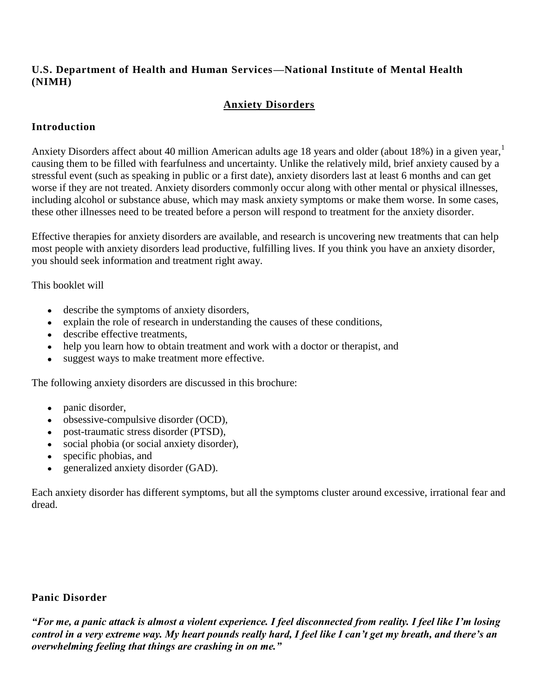### **U.S. Department of Health and Human Services—National Institute of Mental Health (NIMH)**

## **Anxiety Disorders**

#### **Introduction**

Anxiety Disorders affect about 40 million American adults age 18 years and older (about 18%) in a given year, causing them to be filled with fearfulness and uncertainty. Unlike the relatively mild, brief anxiety caused by a stressful event (such as speaking in public or a first date), anxiety disorders last at least 6 months and can get worse if they are not treated. Anxiety disorders commonly occur along with other mental or physical illnesses, including alcohol or substance abuse, which may mask anxiety symptoms or make them worse. In some cases, these other illnesses need to be treated before a person will respond to treatment for the anxiety disorder.

Effective therapies for anxiety disorders are available, and research is uncovering new treatments that can help most people with anxiety disorders lead productive, fulfilling lives. If you think you have an anxiety disorder, you should seek information and treatment right away.

This booklet will

- describe the symptoms of anxiety disorders,
- explain the role of research in understanding the causes of these conditions,
- describe effective treatments,
- help you learn how to obtain treatment and work with a doctor or therapist, and
- suggest ways to make treatment more effective.

The following anxiety disorders are discussed in this brochure:

- panic disorder,  $\bullet$
- obsessive-compulsive disorder (OCD),
- post-traumatic stress disorder (PTSD),
- social phobia (or social anxiety disorder),
- specific phobias, and
- generalized anxiety disorder (GAD).

Each anxiety disorder has different symptoms, but all the symptoms cluster around excessive, irrational fear and dread.

### **Panic Disorder**

*"For me, a panic attack is almost a violent experience. I feel disconnected from reality. I feel like I"m losing control in a very extreme way. My heart pounds really hard, I feel like I can"t get my breath, and there"s an overwhelming feeling that things are crashing in on me."*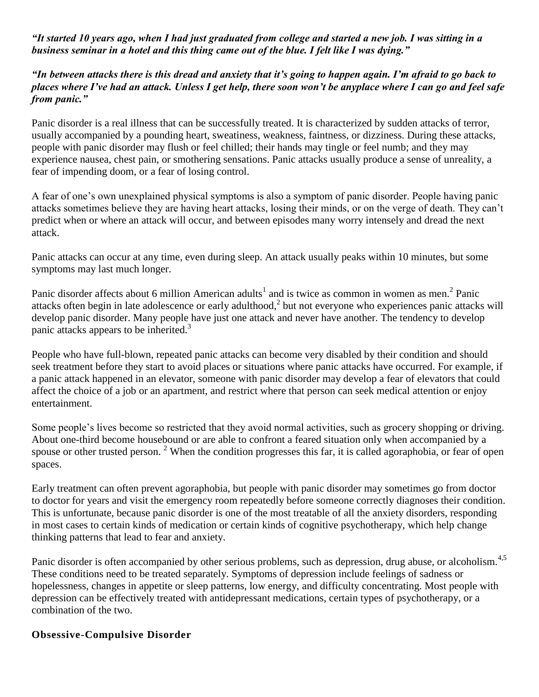*"It started 10 years ago, when I had just graduated from college and started a new job. I was sitting in a business seminar in a hotel and this thing came out of the blue. I felt like I was dying."*

*"In between attacks there is this dread and anxiety that it"s going to happen again. I"m afraid to go back to places where I"ve had an attack. Unless I get help, there soon won"t be anyplace where I can go and feel safe from panic."*

Panic disorder is a real illness that can be successfully treated. It is characterized by sudden attacks of terror, usually accompanied by a pounding heart, sweatiness, weakness, faintness, or dizziness. During these attacks, people with panic disorder may flush or feel chilled; their hands may tingle or feel numb; and they may experience nausea, chest pain, or smothering sensations. Panic attacks usually produce a sense of unreality, a fear of impending doom, or a fear of losing control.

A fear of one's own unexplained physical symptoms is also a symptom of panic disorder. People having panic attacks sometimes believe they are having heart attacks, losing their minds, or on the verge of death. They can't predict when or where an attack will occur, and between episodes many worry intensely and dread the next attack.

Panic attacks can occur at any time, even during sleep. An attack usually peaks within 10 minutes, but some symptoms may last much longer.

Panic disorder affects about 6 million American adults<sup>1</sup> and is twice as common in women as men.<sup>2</sup> Panic attacks often begin in late adolescence or early adulthood,<sup>2</sup> but not everyone who experiences panic attacks will develop panic disorder. Many people have just one attack and never have another. The tendency to develop panic attacks appears to be inherited.<sup>3</sup>

People who have full-blown, repeated panic attacks can become very disabled by their condition and should seek treatment before they start to avoid places or situations where panic attacks have occurred. For example, if a panic attack happened in an elevator, someone with panic disorder may develop a fear of elevators that could affect the choice of a job or an apartment, and restrict where that person can seek medical attention or enjoy entertainment.

Some people's lives become so restricted that they avoid normal activities, such as grocery shopping or driving. About one-third become housebound or are able to confront a feared situation only when accompanied by a spouse or other trusted person.<sup>2</sup> When the condition progresses this far, it is called agoraphobia, or fear of open spaces.

Early treatment can often prevent agoraphobia, but people with panic disorder may sometimes go from doctor to doctor for years and visit the emergency room repeatedly before someone correctly diagnoses their condition. This is unfortunate, because panic disorder is one of the most treatable of all the anxiety disorders, responding in most cases to certain kinds of medication or certain kinds of cognitive psychotherapy, which help change thinking patterns that lead to fear and anxiety.

Panic disorder is often accompanied by other serious problems, such as depression, drug abuse, or alcoholism.<sup>4,5</sup> These conditions need to be treated separately. Symptoms of depression include feelings of sadness or hopelessness, changes in appetite or sleep patterns, low energy, and difficulty concentrating. Most people with depression can be effectively treated with antidepressant medications, certain types of psychotherapy, or a combination of the two.

#### **Obsessive-Compulsive Disorder**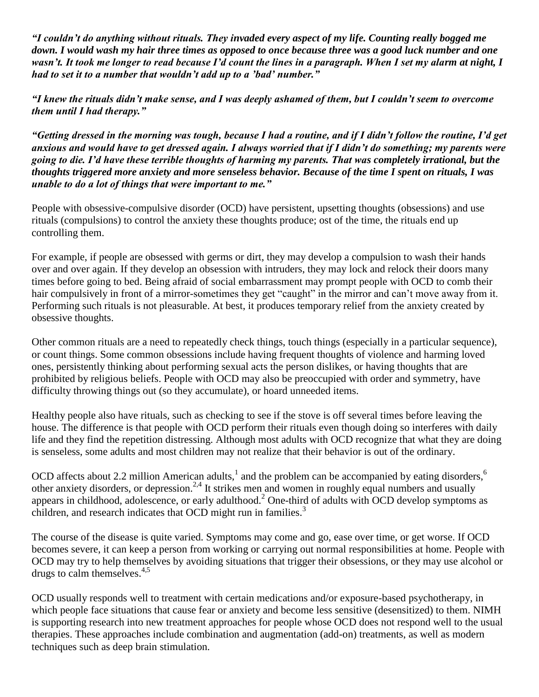*"I couldn"t do anything without rituals. They invaded every aspect of my life. Counting really bogged me down. I would wash my hair three times as opposed to once because three was a good luck number and one wasn"t. It took me longer to read because I"d count the lines in a paragraph. When I set my alarm at night, I had to set it to a number that wouldn"t add up to a "bad" number."*

*"I knew the rituals didn"t make sense, and I was deeply ashamed of them, but I couldn"t seem to overcome them until I had therapy."*

*"Getting dressed in the morning was tough, because I had a routine, and if I didn"t follow the routine, I"d get anxious and would have to get dressed again. I always worried that if I didn"t do something; my parents were going to die. I"d have these terrible thoughts of harming my parents. That was completely irrational, but the thoughts triggered more anxiety and more senseless behavior. Because of the time I spent on rituals, I was unable to do a lot of things that were important to me."*

People with obsessive-compulsive disorder (OCD) have persistent, upsetting thoughts (obsessions) and use rituals (compulsions) to control the anxiety these thoughts produce; ost of the time, the rituals end up controlling them.

For example, if people are obsessed with germs or dirt, they may develop a compulsion to wash their hands over and over again. If they develop an obsession with intruders, they may lock and relock their doors many times before going to bed. Being afraid of social embarrassment may prompt people with OCD to comb their hair compulsively in front of a mirror-sometimes they get "caught" in the mirror and can't move away from it. Performing such rituals is not pleasurable. At best, it produces temporary relief from the anxiety created by obsessive thoughts.

Other common rituals are a need to repeatedly check things, touch things (especially in a particular sequence), or count things. Some common obsessions include having frequent thoughts of violence and harming loved ones, persistently thinking about performing sexual acts the person dislikes, or having thoughts that are prohibited by religious beliefs. People with OCD may also be preoccupied with order and symmetry, have difficulty throwing things out (so they accumulate), or hoard unneeded items.

Healthy people also have rituals, such as checking to see if the stove is off several times before leaving the house. The difference is that people with OCD perform their rituals even though doing so interferes with daily life and they find the repetition distressing. Although most adults with OCD recognize that what they are doing is senseless, some adults and most children may not realize that their behavior is out of the ordinary.

OCD affects about 2.2 million American adults,<sup>1</sup> and the problem can be accompanied by eating disorders,<sup>6</sup> other anxiety disorders, or depression.2,4 It strikes men and women in roughly equal numbers and usually appears in childhood, adolescence, or early adulthood.<sup>2</sup> One-third of adults with OCD develop symptoms as children, and research indicates that OCD might run in families.<sup>3</sup>

The course of the disease is quite varied. Symptoms may come and go, ease over time, or get worse. If OCD becomes severe, it can keep a person from working or carrying out normal responsibilities at home. People with OCD may try to help themselves by avoiding situations that trigger their obsessions, or they may use alcohol or drugs to calm themselves.  $4.5$ 

OCD usually responds well to treatment with certain medications and/or exposure-based psychotherapy, in which people face situations that cause fear or anxiety and become less sensitive (desensitized) to them. NIMH is supporting research into new treatment approaches for people whose OCD does not respond well to the usual therapies. These approaches include combination and augmentation (add-on) treatments, as well as modern techniques such as deep brain stimulation.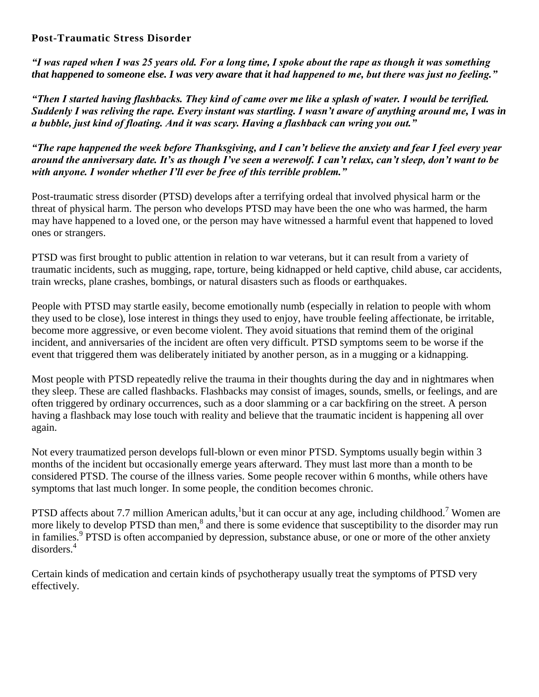### **Post-Traumatic Stress Disorder**

*"I was raped when I was 25 years old. For a long time, I spoke about the rape as though it was something that happened to someone else. I was very aware that it had happened to me, but there was just no feeling."*

*"Then I started having flashbacks. They kind of came over me like a splash of water. I would be terrified. Suddenly I was reliving the rape. Every instant was startling. I wasn"t aware of anything around me, I was in a bubble, just kind of floating. And it was scary. Having a flashback can wring you out."*

*"The rape happened the week before Thanksgiving, and I can"t believe the anxiety and fear I feel every year around the anniversary date. It"s as though I"ve seen a werewolf. I can"t relax, can"t sleep, don"t want to be with anyone. I wonder whether I"ll ever be free of this terrible problem."*

Post-traumatic stress disorder (PTSD) develops after a terrifying ordeal that involved physical harm or the threat of physical harm. The person who develops PTSD may have been the one who was harmed, the harm may have happened to a loved one, or the person may have witnessed a harmful event that happened to loved ones or strangers.

PTSD was first brought to public attention in relation to war veterans, but it can result from a variety of traumatic incidents, such as mugging, rape, torture, being kidnapped or held captive, child abuse, car accidents, train wrecks, plane crashes, bombings, or natural disasters such as floods or earthquakes.

People with PTSD may startle easily, become emotionally numb (especially in relation to people with whom they used to be close), lose interest in things they used to enjoy, have trouble feeling affectionate, be irritable, become more aggressive, or even become violent. They avoid situations that remind them of the original incident, and anniversaries of the incident are often very difficult. PTSD symptoms seem to be worse if the event that triggered them was deliberately initiated by another person, as in a mugging or a kidnapping.

Most people with PTSD repeatedly relive the trauma in their thoughts during the day and in nightmares when they sleep. These are called flashbacks. Flashbacks may consist of images, sounds, smells, or feelings, and are often triggered by ordinary occurrences, such as a door slamming or a car backfiring on the street. A person having a flashback may lose touch with reality and believe that the traumatic incident is happening all over again.

Not every traumatized person develops full-blown or even minor PTSD. Symptoms usually begin within 3 months of the incident but occasionally emerge years afterward. They must last more than a month to be considered PTSD. The course of the illness varies. Some people recover within 6 months, while others have symptoms that last much longer. In some people, the condition becomes chronic.

PTSD affects about 7.7 million American adults,<sup>1</sup>but it can occur at any age, including childhood.<sup>7</sup> Women are more likely to develop PTSD than men,<sup>8</sup> and there is some evidence that susceptibility to the disorder may run in families.<sup>9</sup> PTSD is often accompanied by depression, substance abuse, or one or more of the other anxiety disorders.<sup>4</sup>

Certain kinds of medication and certain kinds of psychotherapy usually treat the symptoms of PTSD very effectively.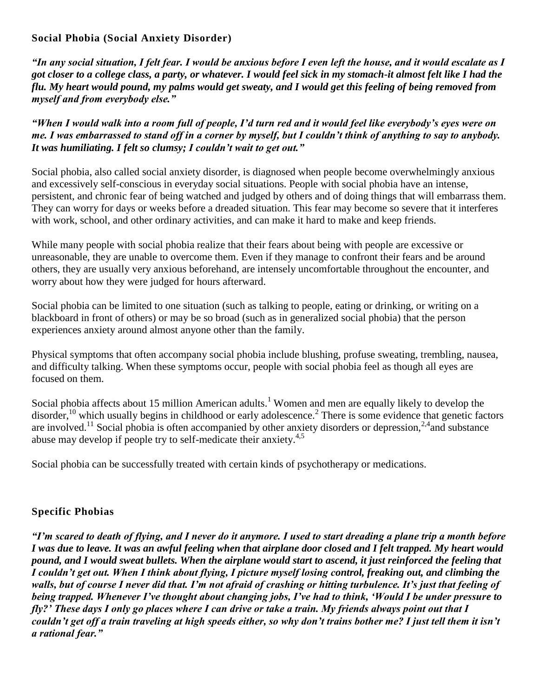#### **Social Phobia (Social Anxiety Disorder)**

*"In any social situation, I felt fear. I would be anxious before I even left the house, and it would escalate as I got closer to a college class, a party, or whatever. I would feel sick in my stomach-it almost felt like I had the flu. My heart would pound, my palms would get sweaty, and I would get this feeling of being removed from myself and from everybody else."*

*"When I would walk into a room full of people, I"d turn red and it would feel like everybody"s eyes were on me. I was embarrassed to stand off in a corner by myself, but I couldn"t think of anything to say to anybody. It was humiliating. I felt so clumsy; I couldn"t wait to get out."*

Social phobia, also called social anxiety disorder, is diagnosed when people become overwhelmingly anxious and excessively self-conscious in everyday social situations. People with social phobia have an intense, persistent, and chronic fear of being watched and judged by others and of doing things that will embarrass them. They can worry for days or weeks before a dreaded situation. This fear may become so severe that it interferes with work, school, and other ordinary activities, and can make it hard to make and keep friends.

While many people with social phobia realize that their fears about being with people are excessive or unreasonable, they are unable to overcome them. Even if they manage to confront their fears and be around others, they are usually very anxious beforehand, are intensely uncomfortable throughout the encounter, and worry about how they were judged for hours afterward.

Social phobia can be limited to one situation (such as talking to people, eating or drinking, or writing on a blackboard in front of others) or may be so broad (such as in generalized social phobia) that the person experiences anxiety around almost anyone other than the family.

Physical symptoms that often accompany social phobia include blushing, profuse sweating, trembling, nausea, and difficulty talking. When these symptoms occur, people with social phobia feel as though all eyes are focused on them.

Social phobia affects about 15 million American adults.<sup>1</sup> Women and men are equally likely to develop the disorder,<sup>10</sup> which usually begins in childhood or early adolescence.<sup>2</sup> There is some evidence that genetic factors are involved.<sup>11</sup> Social phobia is often accompanied by other anxiety disorders or depression,<sup>2,4</sup> and substance abuse may develop if people try to self-medicate their anxiety.<sup>4,5</sup>

Social phobia can be successfully treated with certain kinds of psychotherapy or medications.

### **Specific Phobias**

*"I"m scared to death of flying, and I never do it anymore. I used to start dreading a plane trip a month before I was due to leave. It was an awful feeling when that airplane door closed and I felt trapped. My heart would pound, and I would sweat bullets. When the airplane would start to ascend, it just reinforced the feeling that I couldn"t get out. When I think about flying, I picture myself losing control, freaking out, and climbing the walls, but of course I never did that. I"m not afraid of crashing or hitting turbulence. It"s just that feeling of being trapped. Whenever I"ve thought about changing jobs, I"ve had to think, "Would I be under pressure to fly?" These days I only go places where I can drive or take a train. My friends always point out that I couldn"t get off a train traveling at high speeds either, so why don"t trains bother me? I just tell them it isn"t a rational fear."*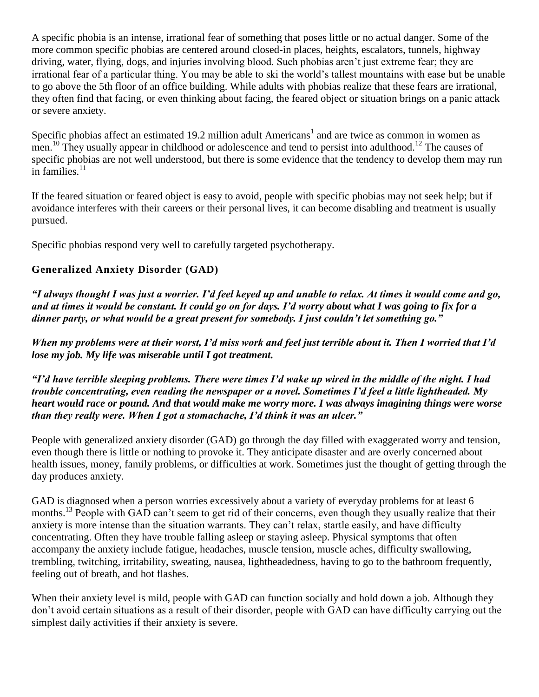A specific phobia is an intense, irrational fear of something that poses little or no actual danger. Some of the more common specific phobias are centered around closed-in places, heights, escalators, tunnels, highway driving, water, flying, dogs, and injuries involving blood. Such phobias aren't just extreme fear; they are irrational fear of a particular thing. You may be able to ski the world's tallest mountains with ease but be unable to go above the 5th floor of an office building. While adults with phobias realize that these fears are irrational, they often find that facing, or even thinking about facing, the feared object or situation brings on a panic attack or severe anxiety.

Specific phobias affect an estimated 19.2 million adult Americans<sup>1</sup> and are twice as common in women as men.<sup>10</sup> They usually appear in childhood or adolescence and tend to persist into adulthood.<sup>12</sup> The causes of specific phobias are not well understood, but there is some evidence that the tendency to develop them may run in families. $11$ 

If the feared situation or feared object is easy to avoid, people with specific phobias may not seek help; but if avoidance interferes with their careers or their personal lives, it can become disabling and treatment is usually pursued.

Specific phobias respond very well to carefully targeted psychotherapy.

# **Generalized Anxiety Disorder (GAD)**

*"I always thought I was just a worrier. I"d feel keyed up and unable to relax. At times it would come and go, and at times it would be constant. It could go on for days. I"d worry about what I was going to fix for a dinner party, or what would be a great present for somebody. I just couldn"t let something go."*

*When my problems were at their worst, I"d miss work and feel just terrible about it. Then I worried that I"d lose my job. My life was miserable until I got treatment.*

*"I"d have terrible sleeping problems. There were times I"d wake up wired in the middle of the night. I had trouble concentrating, even reading the newspaper or a novel. Sometimes I"d feel a little lightheaded. My heart would race or pound. And that would make me worry more. I was always imagining things were worse than they really were. When I got a stomachache, I"d think it was an ulcer."*

People with generalized anxiety disorder (GAD) go through the day filled with exaggerated worry and tension, even though there is little or nothing to provoke it. They anticipate disaster and are overly concerned about health issues, money, family problems, or difficulties at work. Sometimes just the thought of getting through the day produces anxiety.

GAD is diagnosed when a person worries excessively about a variety of everyday problems for at least 6 months.<sup>13</sup> People with GAD can't seem to get rid of their concerns, even though they usually realize that their anxiety is more intense than the situation warrants. They can't relax, startle easily, and have difficulty concentrating. Often they have trouble falling asleep or staying asleep. Physical symptoms that often accompany the anxiety include fatigue, headaches, muscle tension, muscle aches, difficulty swallowing, trembling, twitching, irritability, sweating, nausea, lightheadedness, having to go to the bathroom frequently, feeling out of breath, and hot flashes.

When their anxiety level is mild, people with GAD can function socially and hold down a job. Although they don't avoid certain situations as a result of their disorder, people with GAD can have difficulty carrying out the simplest daily activities if their anxiety is severe.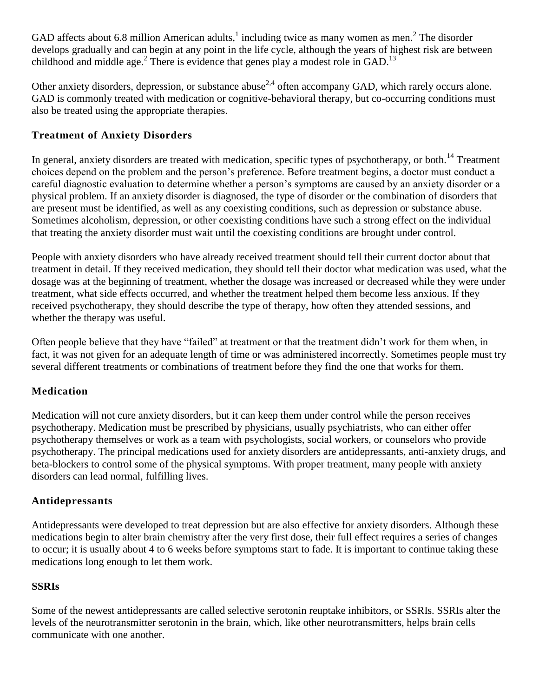GAD affects about 6.8 million American adults, including twice as many women as men.<sup>2</sup> The disorder develops gradually and can begin at any point in the life cycle, although the years of highest risk are between childhood and middle age.<sup>2</sup> There is evidence that genes play a modest role in GAD.<sup>13</sup>

Other anxiety disorders, depression, or substance abuse<sup>2,4</sup> often accompany GAD, which rarely occurs alone. GAD is commonly treated with medication or cognitive-behavioral therapy, but co-occurring conditions must also be treated using the appropriate therapies.

## **Treatment of Anxiety Disorders**

In general, anxiety disorders are treated with medication, specific types of psychotherapy, or both.<sup>14</sup> Treatment choices depend on the problem and the person's preference. Before treatment begins, a doctor must conduct a careful diagnostic evaluation to determine whether a person's symptoms are caused by an anxiety disorder or a physical problem. If an anxiety disorder is diagnosed, the type of disorder or the combination of disorders that are present must be identified, as well as any coexisting conditions, such as depression or substance abuse. Sometimes alcoholism, depression, or other coexisting conditions have such a strong effect on the individual that treating the anxiety disorder must wait until the coexisting conditions are brought under control.

People with anxiety disorders who have already received treatment should tell their current doctor about that treatment in detail. If they received medication, they should tell their doctor what medication was used, what the dosage was at the beginning of treatment, whether the dosage was increased or decreased while they were under treatment, what side effects occurred, and whether the treatment helped them become less anxious. If they received psychotherapy, they should describe the type of therapy, how often they attended sessions, and whether the therapy was useful.

Often people believe that they have "failed" at treatment or that the treatment didn't work for them when, in fact, it was not given for an adequate length of time or was administered incorrectly. Sometimes people must try several different treatments or combinations of treatment before they find the one that works for them.

# **Medication**

Medication will not cure anxiety disorders, but it can keep them under control while the person receives psychotherapy. Medication must be prescribed by physicians, usually psychiatrists, who can either offer psychotherapy themselves or work as a team with psychologists, social workers, or counselors who provide psychotherapy. The principal medications used for anxiety disorders are antidepressants, anti-anxiety drugs, and beta-blockers to control some of the physical symptoms. With proper treatment, many people with anxiety disorders can lead normal, fulfilling lives.

### **Antidepressants**

Antidepressants were developed to treat depression but are also effective for anxiety disorders. Although these medications begin to alter brain chemistry after the very first dose, their full effect requires a series of changes to occur; it is usually about 4 to 6 weeks before symptoms start to fade. It is important to continue taking these medications long enough to let them work.

### **SSRIs**

Some of the newest antidepressants are called selective serotonin reuptake inhibitors, or SSRIs. SSRIs alter the levels of the neurotransmitter serotonin in the brain, which, like other neurotransmitters, helps brain cells communicate with one another.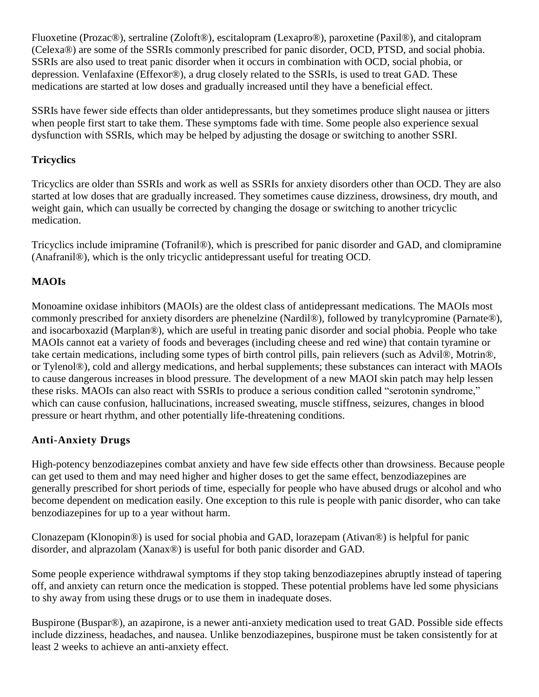Fluoxetine (Prozac®), sertraline (Zoloft®), escitalopram (Lexapro®), paroxetine (Paxil®), and citalopram (Celexa®) are some of the SSRIs commonly prescribed for panic disorder, OCD, PTSD, and social phobia. SSRIs are also used to treat panic disorder when it occurs in combination with OCD, social phobia, or depression. Venlafaxine (Effexor®), a drug closely related to the SSRIs, is used to treat GAD. These medications are started at low doses and gradually increased until they have a beneficial effect.

SSRIs have fewer side effects than older antidepressants, but they sometimes produce slight nausea or jitters when people first start to take them. These symptoms fade with time. Some people also experience sexual dysfunction with SSRIs, which may be helped by adjusting the dosage or switching to another SSRI.

## **Tricyclics**

Tricyclics are older than SSRIs and work as well as SSRIs for anxiety disorders other than OCD. They are also started at low doses that are gradually increased. They sometimes cause dizziness, drowsiness, dry mouth, and weight gain, which can usually be corrected by changing the dosage or switching to another tricyclic medication.

Tricyclics include imipramine (Tofranil®), which is prescribed for panic disorder and GAD, and clomipramine (Anafranil®), which is the only tricyclic antidepressant useful for treating OCD.

## **MAOIs**

Monoamine oxidase inhibitors (MAOIs) are the oldest class of antidepressant medications. The MAOIs most commonly prescribed for anxiety disorders are phenelzine (Nardil®), followed by tranylcypromine (Parnate®), and isocarboxazid (Marplan®), which are useful in treating panic disorder and social phobia. People who take MAOIs cannot eat a variety of foods and beverages (including cheese and red wine) that contain tyramine or take certain medications, including some types of birth control pills, pain relievers (such as Advil®, Motrin®, or Tylenol®), cold and allergy medications, and herbal supplements; these substances can interact with MAOIs to cause dangerous increases in blood pressure. The development of a new MAOI skin patch may help lessen these risks. MAOIs can also react with SSRIs to produce a serious condition called "serotonin syndrome," which can cause confusion, hallucinations, increased sweating, muscle stiffness, seizures, changes in blood pressure or heart rhythm, and other potentially life-threatening conditions.

### **Anti-Anxiety Drugs**

High-potency benzodiazepines combat anxiety and have few side effects other than drowsiness. Because people can get used to them and may need higher and higher doses to get the same effect, benzodiazepines are generally prescribed for short periods of time, especially for people who have abused drugs or alcohol and who become dependent on medication easily. One exception to this rule is people with panic disorder, who can take benzodiazepines for up to a year without harm.

Clonazepam (Klonopin®) is used for social phobia and GAD, lorazepam (Ativan®) is helpful for panic disorder, and alprazolam (Xanax®) is useful for both panic disorder and GAD.

Some people experience withdrawal symptoms if they stop taking benzodiazepines abruptly instead of tapering off, and anxiety can return once the medication is stopped. These potential problems have led some physicians to shy away from using these drugs or to use them in inadequate doses.

Buspirone (Buspar®), an azapirone, is a newer anti-anxiety medication used to treat GAD. Possible side effects include dizziness, headaches, and nausea. Unlike benzodiazepines, buspirone must be taken consistently for at least 2 weeks to achieve an anti-anxiety effect.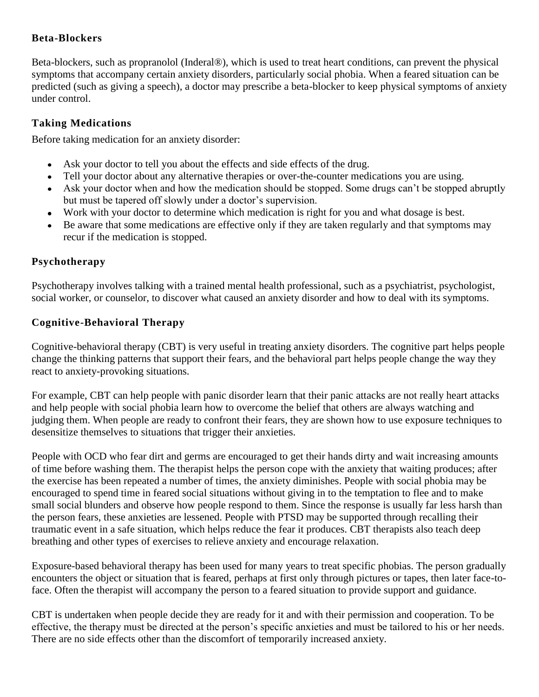### **Beta-Blockers**

Beta-blockers, such as propranolol (Inderal®), which is used to treat heart conditions, can prevent the physical symptoms that accompany certain anxiety disorders, particularly social phobia. When a feared situation can be predicted (such as giving a speech), a doctor may prescribe a beta-blocker to keep physical symptoms of anxiety under control.

### **Taking Medications**

Before taking medication for an anxiety disorder:

- Ask your doctor to tell you about the effects and side effects of the drug.
- Tell your doctor about any alternative therapies or over-the-counter medications you are using.
- Ask your doctor when and how the medication should be stopped. Some drugs can't be stopped abruptly but must be tapered off slowly under a doctor's supervision.
- Work with your doctor to determine which medication is right for you and what dosage is best.
- Be aware that some medications are effective only if they are taken regularly and that symptoms may recur if the medication is stopped.

### **Psychotherapy**

Psychotherapy involves talking with a trained mental health professional, such as a psychiatrist, psychologist, social worker, or counselor, to discover what caused an anxiety disorder and how to deal with its symptoms.

#### **Cognitive-Behavioral Therapy**

Cognitive-behavioral therapy (CBT) is very useful in treating anxiety disorders. The cognitive part helps people change the thinking patterns that support their fears, and the behavioral part helps people change the way they react to anxiety-provoking situations.

For example, CBT can help people with panic disorder learn that their panic attacks are not really heart attacks and help people with social phobia learn how to overcome the belief that others are always watching and judging them. When people are ready to confront their fears, they are shown how to use exposure techniques to desensitize themselves to situations that trigger their anxieties.

People with OCD who fear dirt and germs are encouraged to get their hands dirty and wait increasing amounts of time before washing them. The therapist helps the person cope with the anxiety that waiting produces; after the exercise has been repeated a number of times, the anxiety diminishes. People with social phobia may be encouraged to spend time in feared social situations without giving in to the temptation to flee and to make small social blunders and observe how people respond to them. Since the response is usually far less harsh than the person fears, these anxieties are lessened. People with PTSD may be supported through recalling their traumatic event in a safe situation, which helps reduce the fear it produces. CBT therapists also teach deep breathing and other types of exercises to relieve anxiety and encourage relaxation.

Exposure-based behavioral therapy has been used for many years to treat specific phobias. The person gradually encounters the object or situation that is feared, perhaps at first only through pictures or tapes, then later face-toface. Often the therapist will accompany the person to a feared situation to provide support and guidance.

CBT is undertaken when people decide they are ready for it and with their permission and cooperation. To be effective, the therapy must be directed at the person's specific anxieties and must be tailored to his or her needs. There are no side effects other than the discomfort of temporarily increased anxiety.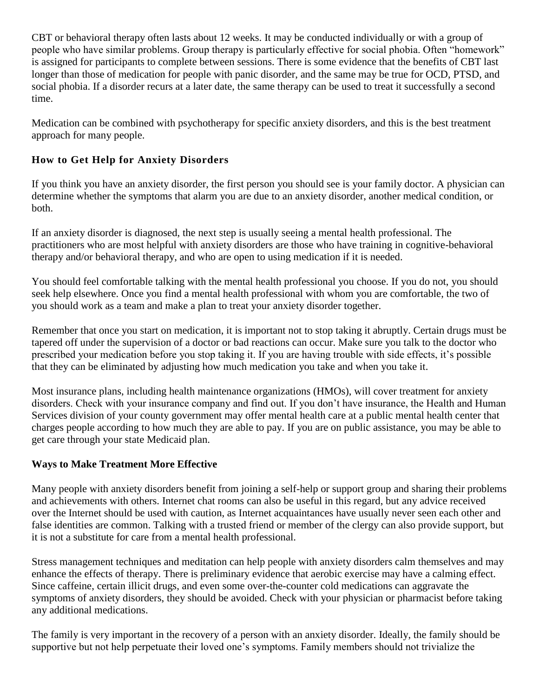CBT or behavioral therapy often lasts about 12 weeks. It may be conducted individually or with a group of people who have similar problems. Group therapy is particularly effective for social phobia. Often "homework" is assigned for participants to complete between sessions. There is some evidence that the benefits of CBT last longer than those of medication for people with panic disorder, and the same may be true for OCD, PTSD, and social phobia. If a disorder recurs at a later date, the same therapy can be used to treat it successfully a second time.

Medication can be combined with psychotherapy for specific anxiety disorders, and this is the best treatment approach for many people.

## **How to Get Help for Anxiety Disorders**

If you think you have an anxiety disorder, the first person you should see is your family doctor. A physician can determine whether the symptoms that alarm you are due to an anxiety disorder, another medical condition, or both.

If an anxiety disorder is diagnosed, the next step is usually seeing a mental health professional. The practitioners who are most helpful with anxiety disorders are those who have training in cognitive-behavioral therapy and/or behavioral therapy, and who are open to using medication if it is needed.

You should feel comfortable talking with the mental health professional you choose. If you do not, you should seek help elsewhere. Once you find a mental health professional with whom you are comfortable, the two of you should work as a team and make a plan to treat your anxiety disorder together.

Remember that once you start on medication, it is important not to stop taking it abruptly. Certain drugs must be tapered off under the supervision of a doctor or bad reactions can occur. Make sure you talk to the doctor who prescribed your medication before you stop taking it. If you are having trouble with side effects, it's possible that they can be eliminated by adjusting how much medication you take and when you take it.

Most insurance plans, including health maintenance organizations (HMOs), will cover treatment for anxiety disorders. Check with your insurance company and find out. If you don't have insurance, the Health and Human Services division of your county government may offer mental health care at a public mental health center that charges people according to how much they are able to pay. If you are on public assistance, you may be able to get care through your state Medicaid plan.

#### **Ways to Make Treatment More Effective**

Many people with anxiety disorders benefit from joining a self-help or support group and sharing their problems and achievements with others. Internet chat rooms can also be useful in this regard, but any advice received over the Internet should be used with caution, as Internet acquaintances have usually never seen each other and false identities are common. Talking with a trusted friend or member of the clergy can also provide support, but it is not a substitute for care from a mental health professional.

Stress management techniques and meditation can help people with anxiety disorders calm themselves and may enhance the effects of therapy. There is preliminary evidence that aerobic exercise may have a calming effect. Since caffeine, certain illicit drugs, and even some over-the-counter cold medications can aggravate the symptoms of anxiety disorders, they should be avoided. Check with your physician or pharmacist before taking any additional medications.

The family is very important in the recovery of a person with an anxiety disorder. Ideally, the family should be supportive but not help perpetuate their loved one's symptoms. Family members should not trivialize the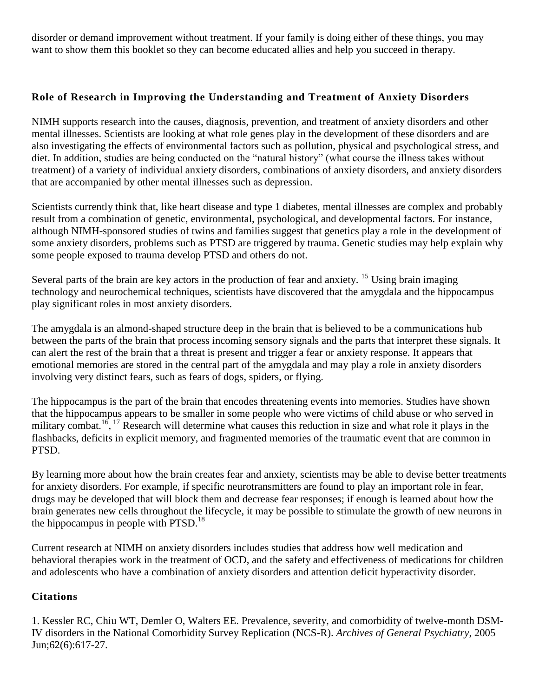disorder or demand improvement without treatment. If your family is doing either of these things, you may want to show them this booklet so they can become educated allies and help you succeed in therapy.

## **Role of Research in Improving the Understanding and Treatment of Anxiety Disorders**

NIMH supports research into the causes, diagnosis, prevention, and treatment of anxiety disorders and other mental illnesses. Scientists are looking at what role genes play in the development of these disorders and are also investigating the effects of environmental factors such as pollution, physical and psychological stress, and diet. In addition, studies are being conducted on the "natural history" (what course the illness takes without treatment) of a variety of individual anxiety disorders, combinations of anxiety disorders, and anxiety disorders that are accompanied by other mental illnesses such as depression.

Scientists currently think that, like heart disease and type 1 diabetes, mental illnesses are complex and probably result from a combination of genetic, environmental, psychological, and developmental factors. For instance, although NIMH-sponsored studies of twins and families suggest that genetics play a role in the development of some anxiety disorders, problems such as PTSD are triggered by trauma. Genetic studies may help explain why some people exposed to trauma develop PTSD and others do not.

Several parts of the brain are key actors in the production of fear and anxiety. <sup>15</sup> Using brain imaging technology and neurochemical techniques, scientists have discovered that the amygdala and the hippocampus play significant roles in most anxiety disorders.

The amygdala is an almond-shaped structure deep in the brain that is believed to be a communications hub between the parts of the brain that process incoming sensory signals and the parts that interpret these signals. It can alert the rest of the brain that a threat is present and trigger a fear or anxiety response. It appears that emotional memories are stored in the central part of the amygdala and may play a role in anxiety disorders involving very distinct fears, such as fears of dogs, spiders, or flying.

The hippocampus is the part of the brain that encodes threatening events into memories. Studies have shown that the hippocampus appears to be smaller in some people who were victims of child abuse or who served in military combat.<sup>16, 17</sup> Research will determine what causes this reduction in size and what role it plays in the flashbacks, deficits in explicit memory, and fragmented memories of the traumatic event that are common in PTSD.

By learning more about how the brain creates fear and anxiety, scientists may be able to devise better treatments for anxiety disorders. For example, if specific neurotransmitters are found to play an important role in fear, drugs may be developed that will block them and decrease fear responses; if enough is learned about how the brain generates new cells throughout the lifecycle, it may be possible to stimulate the growth of new neurons in the hippocampus in people with  $PTSD<sup>18</sup>$ .

Current research at NIMH on anxiety disorders includes studies that address how well medication and behavioral therapies work in the treatment of OCD, and the safety and effectiveness of medications for children and adolescents who have a combination of anxiety disorders and attention deficit hyperactivity disorder.

### **Citations**

1. Kessler RC, Chiu WT, Demler O, Walters EE. Prevalence, severity, and comorbidity of twelve-month DSM-IV disorders in the National Comorbidity Survey Replication (NCS-R). *Archives of General Psychiatry*, 2005 Jun;62(6):617-27.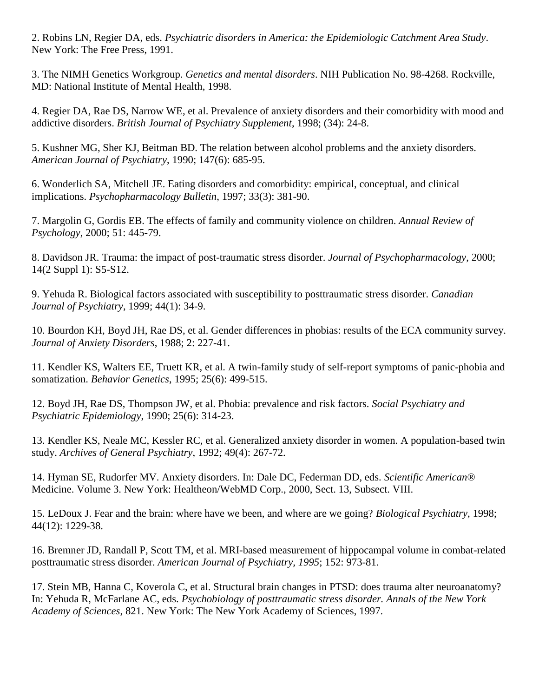2. Robins LN, Regier DA, eds. *Psychiatric disorders in America: the Epidemiologic Catchment Area Study*. New York: The Free Press, 1991.

3. The NIMH Genetics Workgroup. *Genetics and mental disorders*. NIH Publication No. 98-4268. Rockville, MD: National Institute of Mental Health, 1998.

4. Regier DA, Rae DS, Narrow WE, et al. Prevalence of anxiety disorders and their comorbidity with mood and addictive disorders. *British Journal of Psychiatry Supplement*, 1998; (34): 24-8.

5. Kushner MG, Sher KJ, Beitman BD. The relation between alcohol problems and the anxiety disorders. *American Journal of Psychiatry*, 1990; 147(6): 685-95.

6. Wonderlich SA, Mitchell JE. Eating disorders and comorbidity: empirical, conceptual, and clinical implications. *Psychopharmacology Bulletin*, 1997; 33(3): 381-90.

7. Margolin G, Gordis EB. The effects of family and community violence on children. *Annual Review of Psychology*, 2000; 51: 445-79.

8. Davidson JR. Trauma: the impact of post-traumatic stress disorder. *Journal of Psychopharmacology*, 2000; 14(2 Suppl 1): S5-S12.

9. Yehuda R. Biological factors associated with susceptibility to posttraumatic stress disorder. *Canadian Journal of Psychiatry*, 1999; 44(1): 34-9.

10. Bourdon KH, Boyd JH, Rae DS, et al. Gender differences in phobias: results of the ECA community survey. *Journal of Anxiety Disorders*, 1988; 2: 227-41.

11. Kendler KS, Walters EE, Truett KR, et al. A twin-family study of self-report symptoms of panic-phobia and somatization. *Behavior Genetics*, 1995; 25(6): 499-515.

12. Boyd JH, Rae DS, Thompson JW, et al. Phobia: prevalence and risk factors. *Social Psychiatry and Psychiatric Epidemiology*, 1990; 25(6): 314-23.

13. Kendler KS, Neale MC, Kessler RC, et al. Generalized anxiety disorder in women. A population-based twin study. *Archives of General Psychiatry*, 1992; 49(4): 267-72.

14. Hyman SE, Rudorfer MV. Anxiety disorders. In: Dale DC, Federman DD, eds. *Scientific American*® Medicine. Volume 3. New York: Healtheon/WebMD Corp., 2000, Sect. 13, Subsect. VIII.

15. LeDoux J. Fear and the brain: where have we been, and where are we going? *Biological Psychiatry*, 1998; 44(12): 1229-38.

16. Bremner JD, Randall P, Scott TM, et al. MRI-based measurement of hippocampal volume in combat-related posttraumatic stress disorder. *American Journal of Psychiatry, 1995*; 152: 973-81.

17. Stein MB, Hanna C, Koverola C, et al. Structural brain changes in PTSD: does trauma alter neuroanatomy? In: Yehuda R, McFarlane AC, eds. *Psychobiology of posttraumatic stress disorder. Annals of the New York Academy of Sciences*, 821. New York: The New York Academy of Sciences, 1997.